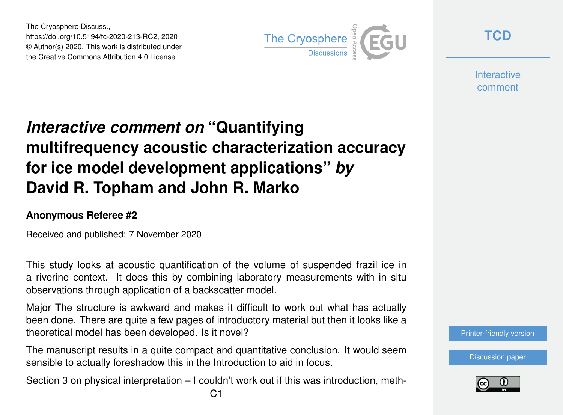The Cryosphere Discuss., https://doi.org/10.5194/tc-2020-213-RC2, 2020 © Author(s) 2020. This work is distributed under the Creative Commons Attribution 4.0 License.



**[TCD](https://tc.copernicus.org/preprints/)**

**Interactive** comment

## *Interactive comment on* **"Quantifying multifrequency acoustic characterization accuracy for ice model development applications"** *by* **David R. Topham and John R. Marko**

## **Anonymous Referee #2**

Received and published: 7 November 2020

This study looks at acoustic quantification of the volume of suspended frazil ice in a riverine context. It does this by combining laboratory measurements with in situ observations through application of a backscatter model.

Major The structure is awkward and makes it difficult to work out what has actually been done. There are quite a few pages of introductory material but then it looks like a theoretical model has been developed. Is it novel?

The manuscript results in a quite compact and quantitative conclusion. It would seem sensible to actually foreshadow this in the Introduction to aid in focus.

Section 3 on physical interpretation – I couldn't work out if this was introduction, meth-

[Printer-friendly version](https://tc.copernicus.org/preprints/tc-2020-213/tc-2020-213-RC2-print.pdf)

[Discussion paper](https://tc.copernicus.org/preprints/tc-2020-213)

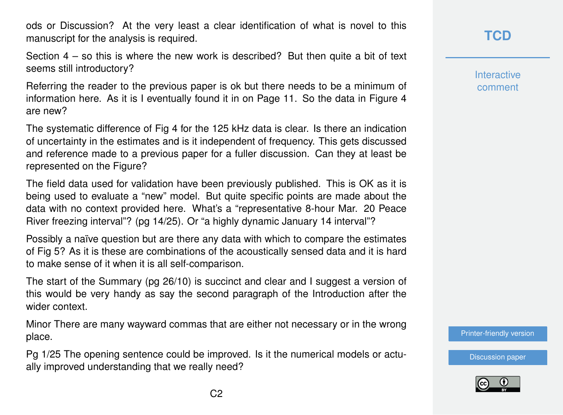ods or Discussion? At the very least a clear identification of what is novel to this manuscript for the analysis is required.

Section  $4 -$  so this is where the new work is described? But then quite a bit of text seems still introductory?

Referring the reader to the previous paper is ok but there needs to be a minimum of information here. As it is I eventually found it in on Page 11. So the data in Figure 4 are new?

The systematic difference of Fig 4 for the 125 kHz data is clear. Is there an indication of uncertainty in the estimates and is it independent of frequency. This gets discussed and reference made to a previous paper for a fuller discussion. Can they at least be represented on the Figure?

The field data used for validation have been previously published. This is OK as it is being used to evaluate a "new" model. But quite specific points are made about the data with no context provided here. What's a "representative 8-hour Mar. 20 Peace River freezing interval"? (pg 14/25). Or "a highly dynamic January 14 interval"?

Possibly a naïve question but are there any data with which to compare the estimates of Fig 5? As it is these are combinations of the acoustically sensed data and it is hard to make sense of it when it is all self-comparison.

The start of the Summary (pg 26/10) is succinct and clear and I suggest a version of this would be very handy as say the second paragraph of the Introduction after the wider context.

Minor There are many wayward commas that are either not necessary or in the wrong place.

Pg 1/25 The opening sentence could be improved. Is it the numerical models or actually improved understanding that we really need?

**[TCD](https://tc.copernicus.org/preprints/)**

**Interactive** comment

[Printer-friendly version](https://tc.copernicus.org/preprints/tc-2020-213/tc-2020-213-RC2-print.pdf)

[Discussion paper](https://tc.copernicus.org/preprints/tc-2020-213)